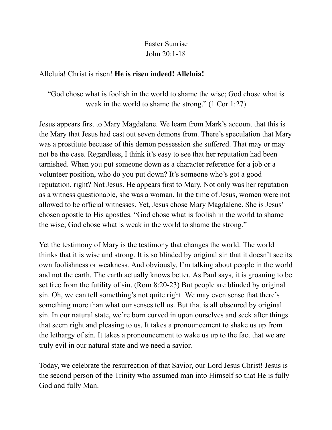## Easter Sunrise John 20:1-18

## Alleluia! Christ is risen! **He is risen indeed! Alleluia!**

"God chose what is foolish in the world to shame the wise; God chose what is weak in the world to shame the strong." (1 Cor 1:27)

Jesus appears first to Mary Magdalene. We learn from Mark's account that this is the Mary that Jesus had cast out seven demons from. There's speculation that Mary was a prostitute becuase of this demon possession she suffered. That may or may not be the case. Regardless, I think it's easy to see that her reputation had been tarnished. When you put someone down as a character reference for a job or a volunteer position, who do you put down? It's someone who's got a good reputation, right? Not Jesus. He appears first to Mary. Not only was her reputation as a witness questionable, she was a woman. In the time of Jesus, women were not allowed to be official witnesses. Yet, Jesus chose Mary Magdalene. She is Jesus' chosen apostle to His apostles. "God chose what is foolish in the world to shame the wise; God chose what is weak in the world to shame the strong."

Yet the testimony of Mary is the testimony that changes the world. The world thinks that it is wise and strong. It is so blinded by original sin that it doesn't see its own foolishness or weakness. And obviously, I'm talking about people in the world and not the earth. The earth actually knows better. As Paul says, it is groaning to be set free from the futility of sin. (Rom 8:20-23) But people are blinded by original sin. Oh, we can tell something's not quite right. We may even sense that there's something more than what our senses tell us. But that is all obscured by original sin. In our natural state, we're born curved in upon ourselves and seek after things that seem right and pleasing to us. It takes a pronouncement to shake us up from the lethargy of sin. It takes a pronouncement to wake us up to the fact that we are truly evil in our natural state and we need a savior.

Today, we celebrate the resurrection of that Savior, our Lord Jesus Christ! Jesus is the second person of the Trinity who assumed man into Himself so that He is fully God and fully Man.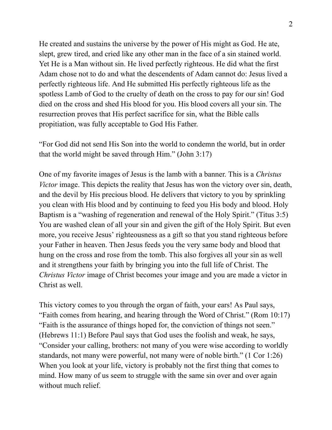He created and sustains the universe by the power of His might as God. He ate, slept, grew tired, and cried like any other man in the face of a sin stained world. Yet He is a Man without sin. He lived perfectly righteous. He did what the first Adam chose not to do and what the descendents of Adam cannot do: Jesus lived a perfectly righteous life. And He submitted His perfectly righteous life as the spotless Lamb of God to the cruelty of death on the cross to pay for our sin! God died on the cross and shed His blood for you. His blood covers all your sin. The resurrection proves that His perfect sacrifice for sin, what the Bible calls propitiation, was fully acceptable to God His Father.

"For God did not send His Son into the world to condemn the world, but in order that the world might be saved through Him." (John 3:17)

One of my favorite images of Jesus is the lamb with a banner. This is a *Christus Victor* image. This depicts the reality that Jesus has won the victory over sin, death, and the devil by His precious blood. He delivers that victory to you by sprinkling you clean with His blood and by continuing to feed you His body and blood. Holy Baptism is a "washing of regeneration and renewal of the Holy Spirit." (Titus 3:5) You are washed clean of all your sin and given the gift of the Holy Spirit. But even more, you receive Jesus' righteousness as a gift so that you stand righteous before your Father in heaven. Then Jesus feeds you the very same body and blood that hung on the cross and rose from the tomb. This also forgives all your sin as well and it strengthens your faith by bringing you into the full life of Christ. The *Christus Victor* image of Christ becomes your image and you are made a victor in Christ as well.

This victory comes to you through the organ of faith, your ears! As Paul says, "Faith comes from hearing, and hearing through the Word of Christ." (Rom 10:17) "Faith is the assurance of things hoped for, the conviction of things not seen." (Hebrews 11:1) Before Paul says that God uses the foolish and weak, he says, "Consider your calling, brothers: not many of you were wise according to worldly standards, not many were powerful, not many were of noble birth." (1 Cor 1:26) When you look at your life, victory is probably not the first thing that comes to mind. How many of us seem to struggle with the same sin over and over again without much relief.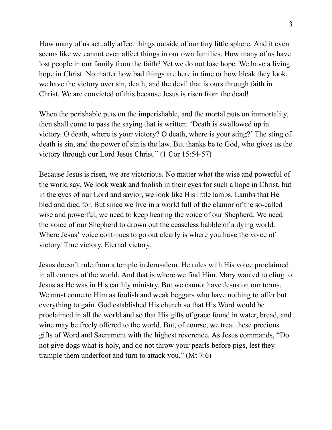How many of us actually affect things outside of our tiny little sphere. And it even seems like we cannot even affect things in our own families. How many of us have lost people in our family from the faith? Yet we do not lose hope. We have a living hope in Christ. No matter how bad things are here in time or how bleak they look, we have the victory over sin, death, and the devil that is ours through faith in Christ. We are convicted of this because Jesus is risen from the dead!

When the perishable puts on the imperishable, and the mortal puts on immortality, then shall come to pass the saying that is written: 'Death is swallowed up in victory. O death, where is your victory? O death, where is your sting?' The sting of death is sin, and the power of sin is the law. But thanks be to God, who gives us the victory through our Lord Jesus Christ." (1 Cor 15:54-57)

Because Jesus is risen, we are victorious. No matter what the wise and powerful of the world say. We look weak and foolish in their eyes for such a hope in Christ, but in the eyes of our Lord and savior, we look like His little lambs. Lambs that He bled and died for. But since we live in a world full of the clamor of the so-called wise and powerful, we need to keep hearing the voice of our Shepherd. We need the voice of our Shepherd to drown out the ceaseless babble of a dying world. Where Jesus' voice continues to go out clearly is where you have the voice of victory. True victory. Eternal victory.

Jesus doesn't rule from a temple in Jerusalem. He rules with His voice proclaimed in all corners of the world. And that is where we find Him. Mary wanted to cling to Jesus as He was in His earthly ministry. But we cannot have Jesus on our terms. We must come to Him as foolish and weak beggars who have nothing to offer but everything to gain. God established His church so that His Word would be proclaimed in all the world and so that His gifts of grace found in water, bread, and wine may be freely offered to the world. But, of course, we treat these precious gifts of Word and Sacrament with the highest reverence. As Jesus commands, "Do not give dogs what is holy, and do not throw your pearls before pigs, lest they trample them underfoot and turn to attack you." (Mt 7:6)